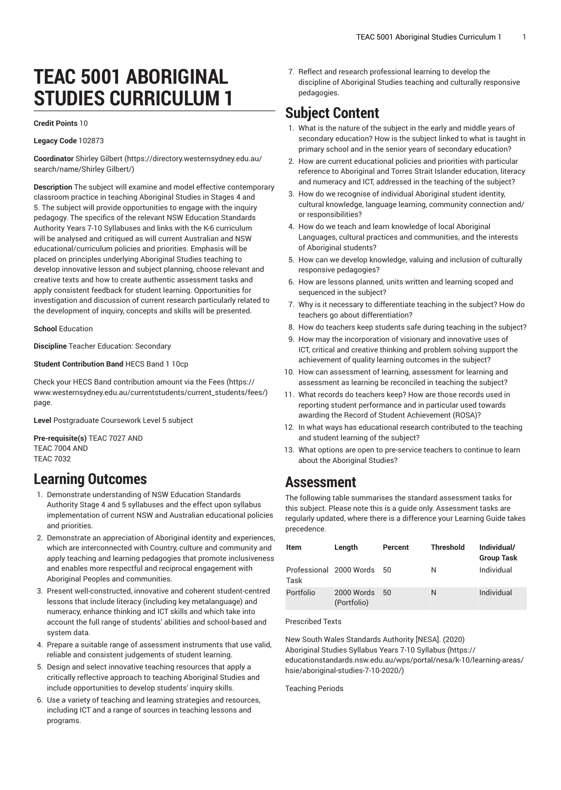# **TEAC 5001 ABORIGINAL STUDIES CURRICULUM 1**

#### **Credit Points** 10

**Legacy Code** 102873

**Coordinator** [Shirley](https://directory.westernsydney.edu.au/search/name/Shirley Gilbert/) Gilbert [\(https://directory.westernsydney.edu.au/](https://directory.westernsydney.edu.au/search/name/Shirley Gilbert/) [search/name/Shirley](https://directory.westernsydney.edu.au/search/name/Shirley Gilbert/) Gilbert/)

**Description** The subject will examine and model effective contemporary classroom practice in teaching Aboriginal Studies in Stages 4 and 5. The subject will provide opportunities to engage with the inquiry pedagogy. The specifics of the relevant NSW Education Standards Authority Years 7-10 Syllabuses and links with the K-6 curriculum will be analysed and critiqued as will current Australian and NSW educational/curriculum policies and priorities. Emphasis will be placed on principles underlying Aboriginal Studies teaching to develop innovative lesson and subject planning, choose relevant and creative texts and how to create authentic assessment tasks and apply consistent feedback for student learning. Opportunities for investigation and discussion of current research particularly related to the development of inquiry, concepts and skills will be presented.

**School** Education

**Discipline** Teacher Education: Secondary

### **Student Contribution Band** HECS Band 1 10cp

Check your HECS Band contribution amount via the [Fees \(https://](https://www.westernsydney.edu.au/currentstudents/current_students/fees/) [www.westernsydney.edu.au/currentstudents/current\\_students/fees/\)](https://www.westernsydney.edu.au/currentstudents/current_students/fees/) page.

**Level** Postgraduate Coursework Level 5 subject

**Pre-requisite(s)** [TEAC 7027](/search/?P=TEAC%207027) AND [TEAC 7004](/search/?P=TEAC%207004) AND [TEAC 7032](/search/?P=TEAC%207032)

### **Learning Outcomes**

- 1. Demonstrate understanding of NSW Education Standards Authority Stage 4 and 5 syllabuses and the effect upon syllabus implementation of current NSW and Australian educational policies and priorities.
- 2. Demonstrate an appreciation of Aboriginal identity and experiences, which are interconnected with Country, culture and community and apply teaching and learning pedagogies that promote inclusiveness and enables more respectful and reciprocal engagement with Aboriginal Peoples and communities.
- 3. Present well-constructed, innovative and coherent student-centred lessons that include literacy (including key metalanguage) and numeracy, enhance thinking and ICT skills and which take into account the full range of students' abilities and school-based and system data.
- 4. Prepare a suitable range of assessment instruments that use valid, reliable and consistent judgements of student learning.
- 5. Design and select innovative teaching resources that apply a critically reflective approach to teaching Aboriginal Studies and include opportunities to develop students' inquiry skills.
- 6. Use a variety of teaching and learning strategies and resources, including ICT and a range of sources in teaching lessons and programs.

7. Reflect and research professional learning to develop the discipline of Aboriginal Studies teaching and culturally responsive pedagogies.

# **Subject Content**

- 1. What is the nature of the subject in the early and middle years of secondary education? How is the subject linked to what is taught in primary school and in the senior years of secondary education?
- 2. How are current educational policies and priorities with particular reference to Aboriginal and Torres Strait Islander education, literacy and numeracy and ICT, addressed in the teaching of the subject?
- 3. How do we recognise of individual Aboriginal student identity, cultural knowledge, language learning, community connection and/ or responsibilities?
- 4. How do we teach and learn knowledge of local Aboriginal Languages, cultural practices and communities, and the interests of Aboriginal students?
- 5. How can we develop knowledge, valuing and inclusion of culturally responsive pedagogies?
- 6. How are lessons planned, units written and learning scoped and sequenced in the subject?
- 7. Why is it necessary to differentiate teaching in the subject? How do teachers go about differentiation?
- 8. How do teachers keep students safe during teaching in the subject?
- 9. How may the incorporation of visionary and innovative uses of ICT, critical and creative thinking and problem solving support the achievement of quality learning outcomes in the subject?
- 10. How can assessment of learning, assessment for learning and assessment as learning be reconciled in teaching the subject?
- 11. What records do teachers keep? How are those records used in reporting student performance and in particular used towards awarding the Record of Student Achievement (ROSA)?
- 12. In what ways has educational research contributed to the teaching and student learning of the subject?
- 13. What options are open to pre-service teachers to continue to learn about the Aboriginal Studies?

### **Assessment**

The following table summarises the standard assessment tasks for this subject. Please note this is a guide only. Assessment tasks are regularly updated, where there is a difference your Learning Guide takes precedence.

| Item                            | Length                    | Percent | <b>Threshold</b> | Individual/<br><b>Group Task</b> |
|---------------------------------|---------------------------|---------|------------------|----------------------------------|
| Professional 2000 Words<br>Task |                           | 50      | N                | Individual                       |
| Portfolio                       | 2000 Words<br>(Portfolio) | 50      | N                | Individual                       |

### Prescribed Texts

New South Wales [Standards](https://educationstandards.nsw.edu.au/wps/portal/nesa/k-10/learning-areas/hsie/aboriginal-studies-7-10-2020/) Authority [NESA]. (2020) [Aboriginal](https://educationstandards.nsw.edu.au/wps/portal/nesa/k-10/learning-areas/hsie/aboriginal-studies-7-10-2020/) Studies Syllabus Years 7-10 Syllabus ([https://](https://educationstandards.nsw.edu.au/wps/portal/nesa/k-10/learning-areas/hsie/aboriginal-studies-7-10-2020/) [educationstandards.nsw.edu.au/wps/portal/nesa/k-10/learning-areas/](https://educationstandards.nsw.edu.au/wps/portal/nesa/k-10/learning-areas/hsie/aboriginal-studies-7-10-2020/) [hsie/aboriginal-studies-7-10-2020/](https://educationstandards.nsw.edu.au/wps/portal/nesa/k-10/learning-areas/hsie/aboriginal-studies-7-10-2020/))

Teaching Periods